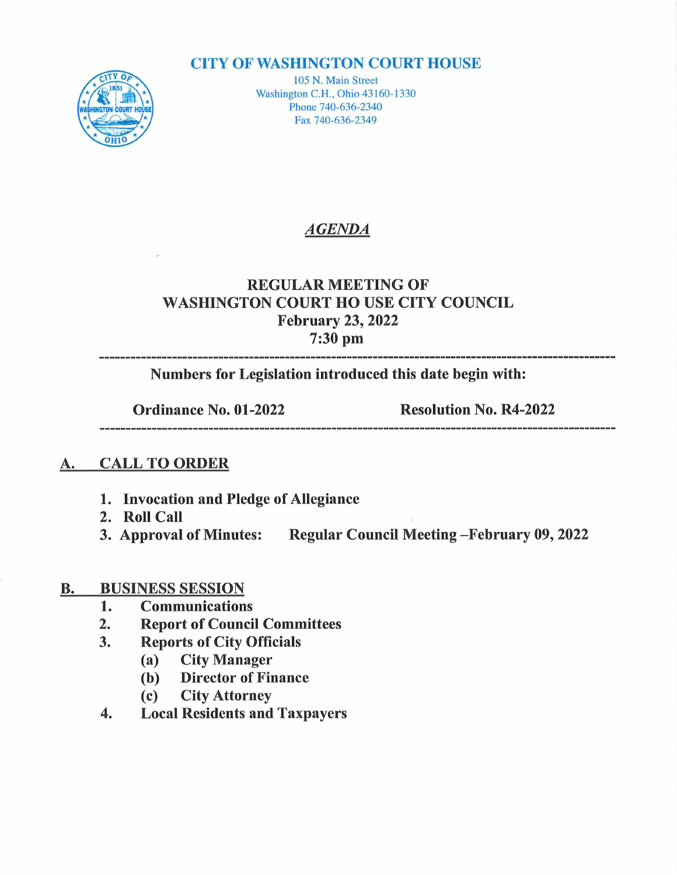#### **CITY OF WASHINGTON COURT HOUSE**



105 N. Main Street Washington C.H., Ohio 43160-1330 Phone 740-636-2340 Fax 740-636-2349

### AGENDA

## REGULAR MEETING OF WASHINGTON COURT HO USE CITY COUNCIL February 23, 2022 uary 23,<br>7:30 pm

Numbers for Legislation introduced this date begin with:

Ordinance No. 01-2022 Resolution No. R4-2022

#### A. CALL TO ORDER

- 1. Invocation and Pledge of Allegiance
- 2. Roll Call
- 3. Approval of Minutes: Regular Council Meeting February 09, 2022

# **B.** BUSINESS SESSION<br>1. Communication

- 
- 1. Communications<br>2. Report of Counci 2. Report of Council Committees<br>3. Reports of City Officials
- **Reports of City Officials** 
	- (a) City Manager<br>(b) Director of Fire
	- **Director of Finance**
	- (c) City Attorney
- 4. Local Residents and Taxpayers